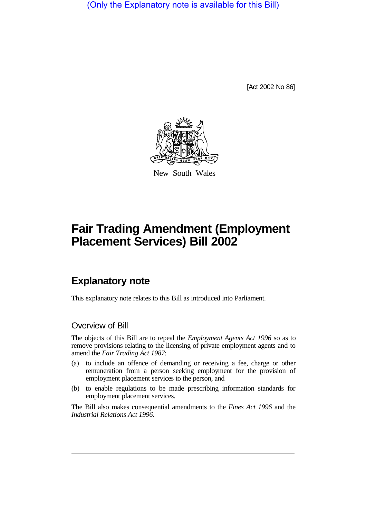(Only the Explanatory note is available for this Bill)

[Act 2002 No 86]



New South Wales

# **Fair Trading Amendment (Employment Placement Services) Bill 2002**

# **Explanatory note**

This explanatory note relates to this Bill as introduced into Parliament.

#### Overview of Bill

The objects of this Bill are to repeal the *Employment Agents Act 1996* so as to remove provisions relating to the licensing of private employment agents and to amend the *Fair Trading Act 1987*:

- (a) to include an offence of demanding or receiving a fee, charge or other remuneration from a person seeking employment for the provision of employment placement services to the person, and
- (b) to enable regulations to be made prescribing information standards for employment placement services.

The Bill also makes consequential amendments to the *Fines Act 1996* and the *Industrial Relations Act 1996*.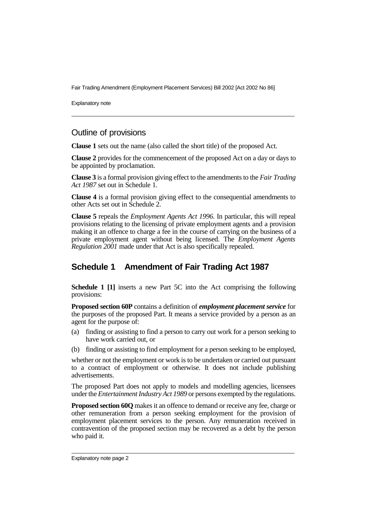Fair Trading Amendment (Employment Placement Services) Bill 2002 [Act 2002 No 86]

Explanatory note

#### Outline of provisions

**Clause 1** sets out the name (also called the short title) of the proposed Act.

**Clause 2** provides for the commencement of the proposed Act on a day or days to be appointed by proclamation.

**Clause 3** is a formal provision giving effect to the amendments to the *Fair Trading Act 1987* set out in Schedule 1.

**Clause 4** is a formal provision giving effect to the consequential amendments to other Acts set out in Schedule 2.

**Clause 5** repeals the *Employment Agents Act 1996*. In particular, this will repeal provisions relating to the licensing of private employment agents and a provision making it an offence to charge a fee in the course of carrying on the business of a private employment agent without being licensed. The *Employment Agents Regulation 2001* made under that Act is also specifically repealed.

## **Schedule 1 Amendment of Fair Trading Act 1987**

**Schedule 1 [1]** inserts a new Part 5C into the Act comprising the following provisions:

**Proposed section 60P** contains a definition of *employment placement service* for the purposes of the proposed Part. It means a service provided by a person as an agent for the purpose of:

- (a) finding or assisting to find a person to carry out work for a person seeking to have work carried out, or
- (b) finding or assisting to find employment for a person seeking to be employed,

whether or not the employment or work is to be undertaken or carried out pursuant to a contract of employment or otherwise. It does not include publishing advertisements.

The proposed Part does not apply to models and modelling agencies, licensees under the *Entertainment Industry Act 1989* or persons exempted by the regulations.

**Proposed section 60Q** makes it an offence to demand or receive any fee, charge or other remuneration from a person seeking employment for the provision of employment placement services to the person. Any remuneration received in contravention of the proposed section may be recovered as a debt by the person who paid it.